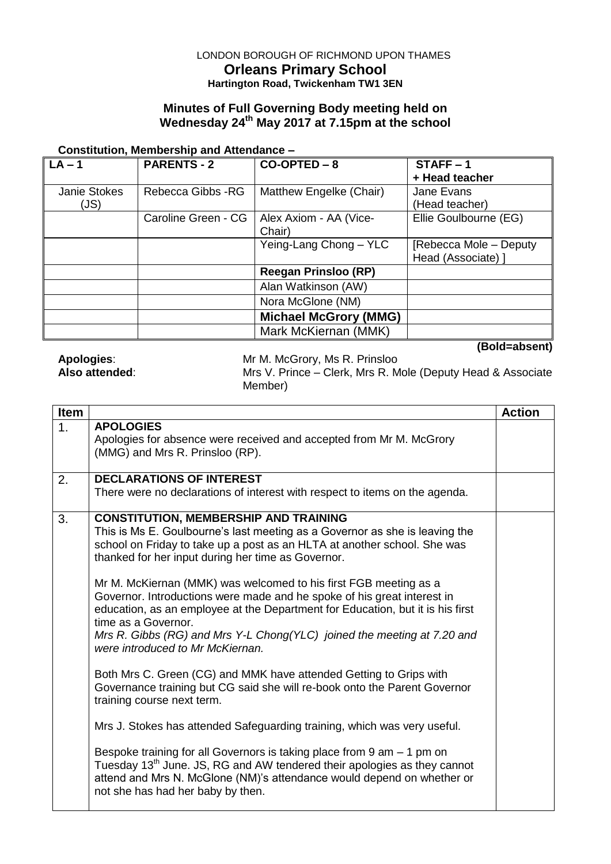## LONDON BOROUGH OF RICHMOND UPON THAMES **Orleans Primary School Hartington Road, Twickenham TW1 3EN**

## **Minutes of Full Governing Body meeting held on Wednesday 24th May 2017 at 7.15pm at the school**

## **Constitution, Membership and Attendance –**

| $LA - 1$     | <b>PARENTS - 2</b>  | $CO-OPTED - 8$               | $STATE - 1$             |
|--------------|---------------------|------------------------------|-------------------------|
|              |                     |                              | + Head teacher          |
| Janie Stokes | Rebecca Gibbs -RG   | Matthew Engelke (Chair)      | Jane Evans              |
| (JS)         |                     |                              | (Head teacher)          |
|              | Caroline Green - CG | Alex Axiom - AA (Vice-       | Ellie Goulbourne (EG)   |
|              |                     | Chair)                       |                         |
|              |                     | Yeing-Lang Chong - YLC       | [Rebecca Mole – Deputy] |
|              |                     |                              | Head (Associate) ]      |
|              |                     | <b>Reegan Prinsloo (RP)</b>  |                         |
|              |                     | Alan Watkinson (AW)          |                         |
|              |                     | Nora McGlone (NM)            |                         |
|              |                     | <b>Michael McGrory (MMG)</b> |                         |
|              |                     | Mark McKiernan (MMK)         |                         |

**(Bold=absent)**

**Apologies:** Mr M. McGrory, Ms R. Prinsloo<br> **Also attended:** Mrs V. Prince – Clerk. Mrs R. M Also attended on the control of the control of the V. Prince – Clerk, Mrs R. Mole (Deputy Head & Associate Member)

| Item |                                                                                                                                                                                                                                                                                                                                                                      | <b>Action</b> |
|------|----------------------------------------------------------------------------------------------------------------------------------------------------------------------------------------------------------------------------------------------------------------------------------------------------------------------------------------------------------------------|---------------|
| 1.   | <b>APOLOGIES</b><br>Apologies for absence were received and accepted from Mr M. McGrory<br>(MMG) and Mrs R. Prinsloo (RP).                                                                                                                                                                                                                                           |               |
| 2.   | <b>DECLARATIONS OF INTEREST</b><br>There were no declarations of interest with respect to items on the agenda.                                                                                                                                                                                                                                                       |               |
| 3.   | <b>CONSTITUTION, MEMBERSHIP AND TRAINING</b><br>This is Ms E. Goulbourne's last meeting as a Governor as she is leaving the<br>school on Friday to take up a post as an HLTA at another school. She was<br>thanked for her input during her time as Governor.                                                                                                        |               |
|      | Mr M. McKiernan (MMK) was welcomed to his first FGB meeting as a<br>Governor. Introductions were made and he spoke of his great interest in<br>education, as an employee at the Department for Education, but it is his first<br>time as a Governor.<br>Mrs R. Gibbs (RG) and Mrs Y-L Chong (YLC) joined the meeting at 7.20 and<br>were introduced to Mr McKiernan. |               |
|      | Both Mrs C. Green (CG) and MMK have attended Getting to Grips with<br>Governance training but CG said she will re-book onto the Parent Governor<br>training course next term.                                                                                                                                                                                        |               |
|      | Mrs J. Stokes has attended Safeguarding training, which was very useful.                                                                                                                                                                                                                                                                                             |               |
|      | Bespoke training for all Governors is taking place from $9$ am $-1$ pm on<br>Tuesday 13 <sup>th</sup> June. JS, RG and AW tendered their apologies as they cannot<br>attend and Mrs N. McGlone (NM)'s attendance would depend on whether or<br>not she has had her baby by then.                                                                                     |               |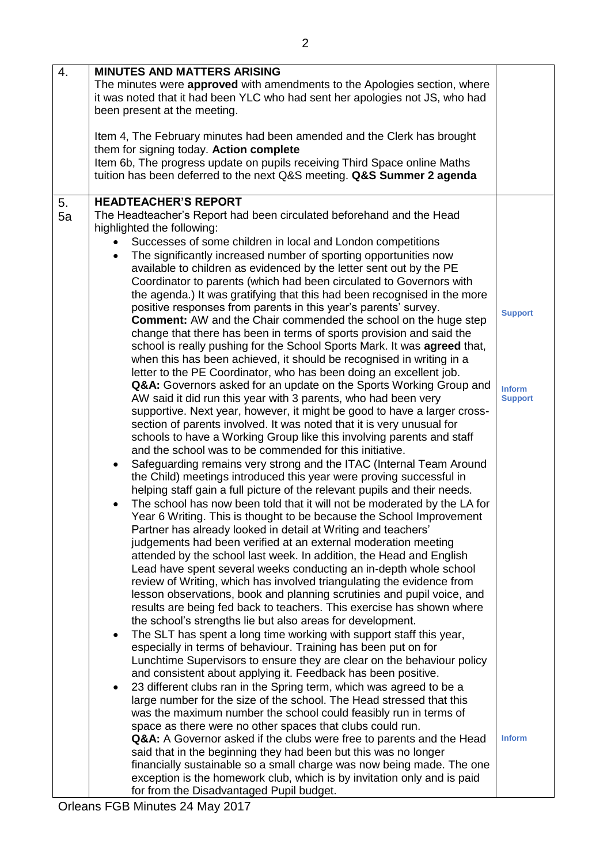| 4.       | <b>MINUTES AND MATTERS ARISING</b><br>The minutes were approved with amendments to the Apologies section, where<br>it was noted that it had been YLC who had sent her apologies not JS, who had<br>been present at the meeting.<br>Item 4, The February minutes had been amended and the Clerk has brought<br>them for signing today. Action complete<br>Item 6b, The progress update on pupils receiving Third Space online Maths<br>tuition has been deferred to the next Q&S meeting. Q&S Summer 2 agenda                                                                                                                                                                                                                                                                                                                                                                                                                                                                                                                                                                                                                                                                                                                                                                                                                                                                                                                                                                                                                                                                                                                                                                                                                                                                                                                                                                                                                                                                                                                                                                                                                                                                                                                                                                                                                                                                                                                                                                                                                                                                                                                                                                                                                                                                                                                                                                                                                                                                                                      |                                                                    |
|----------|-------------------------------------------------------------------------------------------------------------------------------------------------------------------------------------------------------------------------------------------------------------------------------------------------------------------------------------------------------------------------------------------------------------------------------------------------------------------------------------------------------------------------------------------------------------------------------------------------------------------------------------------------------------------------------------------------------------------------------------------------------------------------------------------------------------------------------------------------------------------------------------------------------------------------------------------------------------------------------------------------------------------------------------------------------------------------------------------------------------------------------------------------------------------------------------------------------------------------------------------------------------------------------------------------------------------------------------------------------------------------------------------------------------------------------------------------------------------------------------------------------------------------------------------------------------------------------------------------------------------------------------------------------------------------------------------------------------------------------------------------------------------------------------------------------------------------------------------------------------------------------------------------------------------------------------------------------------------------------------------------------------------------------------------------------------------------------------------------------------------------------------------------------------------------------------------------------------------------------------------------------------------------------------------------------------------------------------------------------------------------------------------------------------------------------------------------------------------------------------------------------------------------------------------------------------------------------------------------------------------------------------------------------------------------------------------------------------------------------------------------------------------------------------------------------------------------------------------------------------------------------------------------------------------------------------------------------------------------------------------------------------------|--------------------------------------------------------------------|
|          |                                                                                                                                                                                                                                                                                                                                                                                                                                                                                                                                                                                                                                                                                                                                                                                                                                                                                                                                                                                                                                                                                                                                                                                                                                                                                                                                                                                                                                                                                                                                                                                                                                                                                                                                                                                                                                                                                                                                                                                                                                                                                                                                                                                                                                                                                                                                                                                                                                                                                                                                                                                                                                                                                                                                                                                                                                                                                                                                                                                                                   |                                                                    |
| 5.<br>5a | <b>HEADTEACHER'S REPORT</b><br>The Headteacher's Report had been circulated beforehand and the Head<br>highlighted the following:<br>Successes of some children in local and London competitions<br>The significantly increased number of sporting opportunities now<br>available to children as evidenced by the letter sent out by the PE<br>Coordinator to parents (which had been circulated to Governors with<br>the agenda.) It was gratifying that this had been recognised in the more<br>positive responses from parents in this year's parents' survey.<br><b>Comment:</b> AW and the Chair commended the school on the huge step<br>change that there has been in terms of sports provision and said the<br>school is really pushing for the School Sports Mark. It was agreed that,<br>when this has been achieved, it should be recognised in writing in a<br>letter to the PE Coordinator, who has been doing an excellent job.<br>Q&A: Governors asked for an update on the Sports Working Group and<br>AW said it did run this year with 3 parents, who had been very<br>supportive. Next year, however, it might be good to have a larger cross-<br>section of parents involved. It was noted that it is very unusual for<br>schools to have a Working Group like this involving parents and staff<br>and the school was to be commended for this initiative.<br>Safeguarding remains very strong and the ITAC (Internal Team Around<br>$\bullet$<br>the Child) meetings introduced this year were proving successful in<br>helping staff gain a full picture of the relevant pupils and their needs.<br>The school has now been told that it will not be moderated by the LA for<br>Year 6 Writing. This is thought to be because the School Improvement<br>Partner has already looked in detail at Writing and teachers'<br>judgements had been verified at an external moderation meeting<br>attended by the school last week. In addition, the Head and English<br>Lead have spent several weeks conducting an in-depth whole school<br>review of Writing, which has involved triangulating the evidence from<br>lesson observations, book and planning scrutinies and pupil voice, and<br>results are being fed back to teachers. This exercise has shown where<br>the school's strengths lie but also areas for development.<br>The SLT has spent a long time working with support staff this year,<br>٠<br>especially in terms of behaviour. Training has been put on for<br>Lunchtime Supervisors to ensure they are clear on the behaviour policy<br>and consistent about applying it. Feedback has been positive.<br>23 different clubs ran in the Spring term, which was agreed to be a<br>$\bullet$<br>large number for the size of the school. The Head stressed that this<br>was the maximum number the school could feasibly run in terms of<br>space as there were no other spaces that clubs could run.<br>Q&A: A Governor asked if the clubs were free to parents and the Head | <b>Support</b><br><b>Inform</b><br><b>Support</b><br><b>Inform</b> |
|          | said that in the beginning they had been but this was no longer<br>financially sustainable so a small charge was now being made. The one<br>exception is the homework club, which is by invitation only and is paid<br>for from the Disadvantaged Pupil budget.                                                                                                                                                                                                                                                                                                                                                                                                                                                                                                                                                                                                                                                                                                                                                                                                                                                                                                                                                                                                                                                                                                                                                                                                                                                                                                                                                                                                                                                                                                                                                                                                                                                                                                                                                                                                                                                                                                                                                                                                                                                                                                                                                                                                                                                                                                                                                                                                                                                                                                                                                                                                                                                                                                                                                   |                                                                    |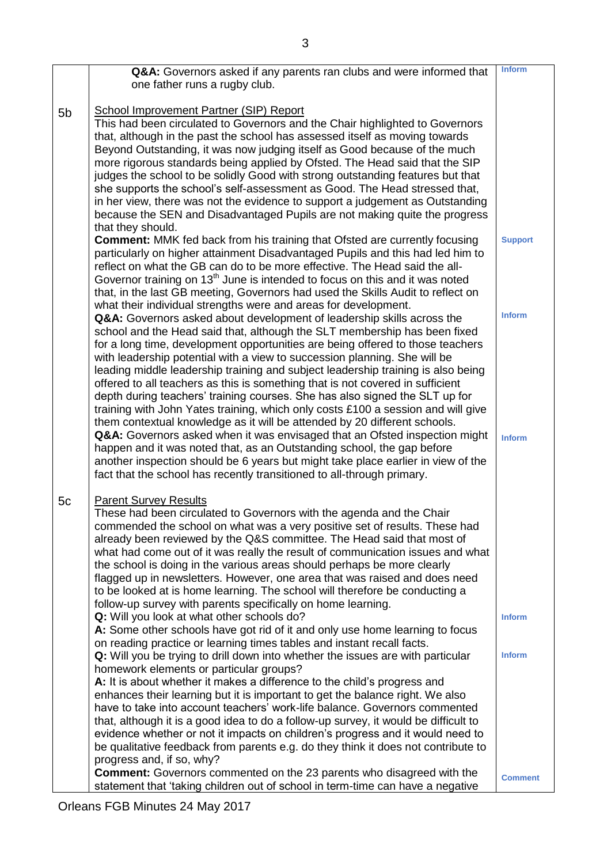|                | Q&A: Governors asked if any parents ran clubs and were informed that                     | <b>Inform</b>  |
|----------------|------------------------------------------------------------------------------------------|----------------|
|                | one father runs a rugby club.                                                            |                |
|                |                                                                                          |                |
| 5 <sub>b</sub> | <b>School Improvement Partner (SIP) Report</b>                                           |                |
|                | This had been circulated to Governors and the Chair highlighted to Governors             |                |
|                | that, although in the past the school has assessed itself as moving towards              |                |
|                | Beyond Outstanding, it was now judging itself as Good because of the much                |                |
|                | more rigorous standards being applied by Ofsted. The Head said that the SIP              |                |
|                | judges the school to be solidly Good with strong outstanding features but that           |                |
|                | she supports the school's self-assessment as Good. The Head stressed that,               |                |
|                | in her view, there was not the evidence to support a judgement as Outstanding            |                |
|                | because the SEN and Disadvantaged Pupils are not making quite the progress               |                |
|                | that they should.                                                                        |                |
|                | <b>Comment:</b> MMK fed back from his training that Ofsted are currently focusing        | <b>Support</b> |
|                | particularly on higher attainment Disadvantaged Pupils and this had led him to           |                |
|                | reflect on what the GB can do to be more effective. The Head said the all-               |                |
|                | Governor training on 13 <sup>th</sup> June is intended to focus on this and it was noted |                |
|                | that, in the last GB meeting, Governors had used the Skills Audit to reflect on          |                |
|                | what their individual strengths were and areas for development.                          |                |
|                | Q&A: Governors asked about development of leadership skills across the                   | <b>Inform</b>  |
|                | school and the Head said that, although the SLT membership has been fixed                |                |
|                | for a long time, development opportunities are being offered to those teachers           |                |
|                | with leadership potential with a view to succession planning. She will be                |                |
|                | leading middle leadership training and subject leadership training is also being         |                |
|                | offered to all teachers as this is something that is not covered in sufficient           |                |
|                | depth during teachers' training courses. She has also signed the SLT up for              |                |
|                | training with John Yates training, which only costs £100 a session and will give         |                |
|                | them contextual knowledge as it will be attended by 20 different schools.                |                |
|                | Q&A: Governors asked when it was envisaged that an Ofsted inspection might               | <b>Inform</b>  |
|                | happen and it was noted that, as an Outstanding school, the gap before                   |                |
|                | another inspection should be 6 years but might take place earlier in view of the         |                |
|                | fact that the school has recently transitioned to all-through primary.                   |                |
|                |                                                                                          |                |
| 5c             | <b>Parent Survey Results</b>                                                             |                |
|                | These had been circulated to Governors with the agenda and the Chair                     |                |
|                | commended the school on what was a very positive set of results. These had               |                |
|                | already been reviewed by the Q&S committee. The Head said that most of                   |                |
|                | what had come out of it was really the result of communication issues and what           |                |
|                | the school is doing in the various areas should perhaps be more clearly                  |                |
|                | flagged up in newsletters. However, one area that was raised and does need               |                |
|                | to be looked at is home learning. The school will therefore be conducting a              |                |
|                | follow-up survey with parents specifically on home learning.                             |                |
|                | Q: Will you look at what other schools do?                                               | <b>Inform</b>  |
|                | A: Some other schools have got rid of it and only use home learning to focus             |                |
|                | on reading practice or learning times tables and instant recall facts.                   |                |
|                | Q: Will you be trying to drill down into whether the issues are with particular          | <b>Inform</b>  |
|                | homework elements or particular groups?                                                  |                |
|                | A: It is about whether it makes a difference to the child's progress and                 |                |
|                | enhances their learning but it is important to get the balance right. We also            |                |
|                | have to take into account teachers' work-life balance. Governors commented               |                |
|                | that, although it is a good idea to do a follow-up survey, it would be difficult to      |                |
|                | evidence whether or not it impacts on children's progress and it would need to           |                |
|                | be qualitative feedback from parents e.g. do they think it does not contribute to        |                |
|                | progress and, if so, why?                                                                |                |
|                | <b>Comment:</b> Governors commented on the 23 parents who disagreed with the             | <b>Comment</b> |
|                | statement that 'taking children out of school in term-time can have a negative           |                |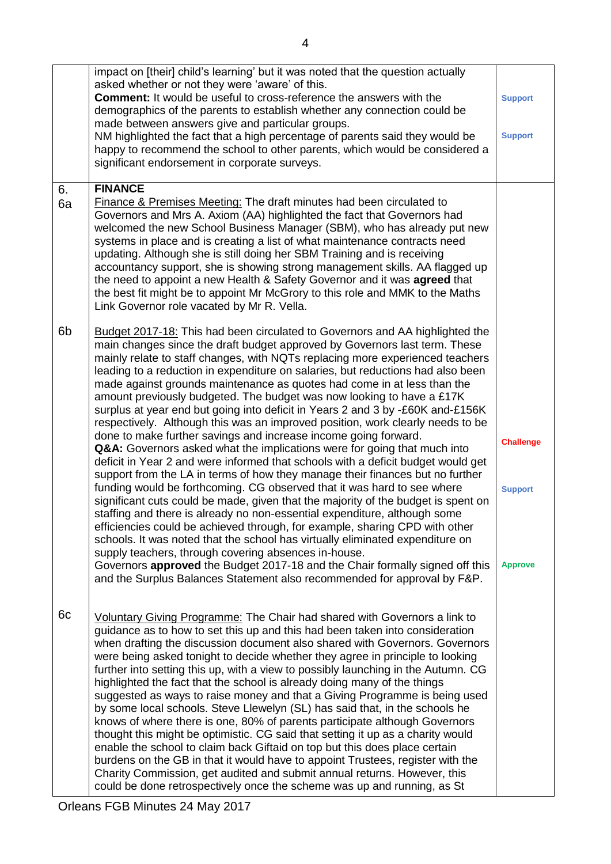|                | impact on [their] child's learning' but it was noted that the question actually<br>asked whether or not they were 'aware' of this.<br><b>Comment:</b> It would be useful to cross-reference the answers with the<br>demographics of the parents to establish whether any connection could be<br>made between answers give and particular groups.<br>NM highlighted the fact that a high percentage of parents said they would be<br>happy to recommend the school to other parents, which would be considered a<br>significant endorsement in corporate surveys.                                                                                                                                                                                                                                                                                                                                                                                                                                                                                                                                                                                                                                                                                                                                                                                                                                                                                                                                                                                                                                            | <b>Support</b><br><b>Support</b>                     |
|----------------|-------------------------------------------------------------------------------------------------------------------------------------------------------------------------------------------------------------------------------------------------------------------------------------------------------------------------------------------------------------------------------------------------------------------------------------------------------------------------------------------------------------------------------------------------------------------------------------------------------------------------------------------------------------------------------------------------------------------------------------------------------------------------------------------------------------------------------------------------------------------------------------------------------------------------------------------------------------------------------------------------------------------------------------------------------------------------------------------------------------------------------------------------------------------------------------------------------------------------------------------------------------------------------------------------------------------------------------------------------------------------------------------------------------------------------------------------------------------------------------------------------------------------------------------------------------------------------------------------------------|------------------------------------------------------|
| 6.<br>6a       | <b>FINANCE</b><br>Finance & Premises Meeting: The draft minutes had been circulated to<br>Governors and Mrs A. Axiom (AA) highlighted the fact that Governors had<br>welcomed the new School Business Manager (SBM), who has already put new<br>systems in place and is creating a list of what maintenance contracts need<br>updating. Although she is still doing her SBM Training and is receiving<br>accountancy support, she is showing strong management skills. AA flagged up<br>the need to appoint a new Health & Safety Governor and it was agreed that<br>the best fit might be to appoint Mr McGrory to this role and MMK to the Maths<br>Link Governor role vacated by Mr R. Vella.                                                                                                                                                                                                                                                                                                                                                                                                                                                                                                                                                                                                                                                                                                                                                                                                                                                                                                            |                                                      |
| 6 <sub>b</sub> | Budget 2017-18: This had been circulated to Governors and AA highlighted the<br>main changes since the draft budget approved by Governors last term. These<br>mainly relate to staff changes, with NQTs replacing more experienced teachers<br>leading to a reduction in expenditure on salaries, but reductions had also been<br>made against grounds maintenance as quotes had come in at less than the<br>amount previously budgeted. The budget was now looking to have a £17K<br>surplus at year end but going into deficit in Years 2 and 3 by -£60K and-£156K<br>respectively. Although this was an improved position, work clearly needs to be<br>done to make further savings and increase income going forward.<br>Q&A: Governors asked what the implications were for going that much into<br>deficit in Year 2 and were informed that schools with a deficit budget would get<br>support from the LA in terms of how they manage their finances but no further<br>funding would be forthcoming. CG observed that it was hard to see where<br>significant cuts could be made, given that the majority of the budget is spent on<br>staffing and there is already no non-essential expenditure, although some<br>efficiencies could be achieved through, for example, sharing CPD with other<br>schools. It was noted that the school has virtually eliminated expenditure on<br>supply teachers, through covering absences in-house.<br>Governors approved the Budget 2017-18 and the Chair formally signed off this<br>and the Surplus Balances Statement also recommended for approval by F&P. | <b>Challenge</b><br><b>Support</b><br><b>Approve</b> |
| 6с             | Voluntary Giving Programme: The Chair had shared with Governors a link to<br>guidance as to how to set this up and this had been taken into consideration<br>when drafting the discussion document also shared with Governors. Governors<br>were being asked tonight to decide whether they agree in principle to looking<br>further into setting this up, with a view to possibly launching in the Autumn. CG<br>highlighted the fact that the school is already doing many of the things<br>suggested as ways to raise money and that a Giving Programme is being used<br>by some local schools. Steve Llewelyn (SL) has said that, in the schools he<br>knows of where there is one, 80% of parents participate although Governors<br>thought this might be optimistic. CG said that setting it up as a charity would<br>enable the school to claim back Giftaid on top but this does place certain<br>burdens on the GB in that it would have to appoint Trustees, register with the<br>Charity Commission, get audited and submit annual returns. However, this<br>could be done retrospectively once the scheme was up and running, as St                                                                                                                                                                                                                                                                                                                                                                                                                                                             |                                                      |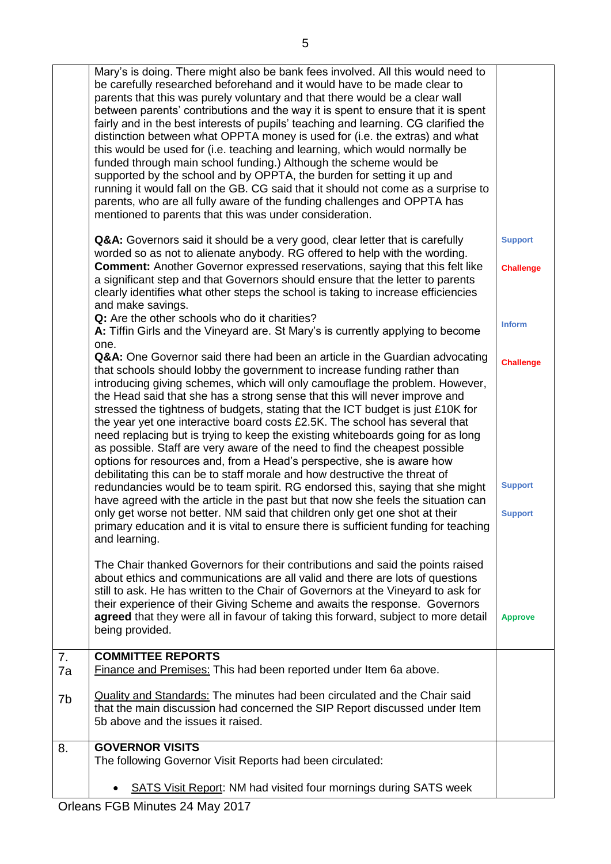|          | Mary's is doing. There might also be bank fees involved. All this would need to<br>be carefully researched beforehand and it would have to be made clear to<br>parents that this was purely voluntary and that there would be a clear wall<br>between parents' contributions and the way it is spent to ensure that it is spent<br>fairly and in the best interests of pupils' teaching and learning. CG clarified the<br>distinction between what OPPTA money is used for (i.e. the extras) and what<br>this would be used for (i.e. teaching and learning, which would normally be<br>funded through main school funding.) Although the scheme would be<br>supported by the school and by OPPTA, the burden for setting it up and<br>running it would fall on the GB. CG said that it should not come as a surprise to<br>parents, who are all fully aware of the funding challenges and OPPTA has<br>mentioned to parents that this was under consideration.                                                                                                                                                                                                                                                                                                                                                                                                                                                                                                                                                                                                                                                                        |                                                                        |
|----------|----------------------------------------------------------------------------------------------------------------------------------------------------------------------------------------------------------------------------------------------------------------------------------------------------------------------------------------------------------------------------------------------------------------------------------------------------------------------------------------------------------------------------------------------------------------------------------------------------------------------------------------------------------------------------------------------------------------------------------------------------------------------------------------------------------------------------------------------------------------------------------------------------------------------------------------------------------------------------------------------------------------------------------------------------------------------------------------------------------------------------------------------------------------------------------------------------------------------------------------------------------------------------------------------------------------------------------------------------------------------------------------------------------------------------------------------------------------------------------------------------------------------------------------------------------------------------------------------------------------------------------------|------------------------------------------------------------------------|
|          | Q&A: Governors said it should be a very good, clear letter that is carefully<br>worded so as not to alienate anybody. RG offered to help with the wording.<br><b>Comment:</b> Another Governor expressed reservations, saying that this felt like<br>a significant step and that Governors should ensure that the letter to parents<br>clearly identifies what other steps the school is taking to increase efficiencies<br>and make savings.                                                                                                                                                                                                                                                                                                                                                                                                                                                                                                                                                                                                                                                                                                                                                                                                                                                                                                                                                                                                                                                                                                                                                                                          | <b>Support</b><br><b>Challenge</b>                                     |
|          | Q: Are the other schools who do it charities?<br>A: Tiffin Girls and the Vineyard are. St Mary's is currently applying to become                                                                                                                                                                                                                                                                                                                                                                                                                                                                                                                                                                                                                                                                                                                                                                                                                                                                                                                                                                                                                                                                                                                                                                                                                                                                                                                                                                                                                                                                                                       | <b>Inform</b>                                                          |
|          | one.<br>Q&A: One Governor said there had been an article in the Guardian advocating<br>that schools should lobby the government to increase funding rather than<br>introducing giving schemes, which will only camouflage the problem. However,<br>the Head said that she has a strong sense that this will never improve and<br>stressed the tightness of budgets, stating that the ICT budget is just £10K for<br>the year yet one interactive board costs £2.5K. The school has several that<br>need replacing but is trying to keep the existing whiteboards going for as long<br>as possible. Staff are very aware of the need to find the cheapest possible<br>options for resources and, from a Head's perspective, she is aware how<br>debilitating this can be to staff morale and how destructive the threat of<br>redundancies would be to team spirit. RG endorsed this, saying that she might<br>have agreed with the article in the past but that now she feels the situation can<br>only get worse not better. NM said that children only get one shot at their<br>primary education and it is vital to ensure there is sufficient funding for teaching<br>and learning.<br>The Chair thanked Governors for their contributions and said the points raised<br>about ethics and communications are all valid and there are lots of questions<br>still to ask. He has written to the Chair of Governors at the Vineyard to ask for<br>their experience of their Giving Scheme and awaits the response. Governors<br>agreed that they were all in favour of taking this forward, subject to more detail<br>being provided. | <b>Challenge</b><br><b>Support</b><br><b>Support</b><br><b>Approve</b> |
| 7.<br>7a | <b>COMMITTEE REPORTS</b><br>Finance and Premises: This had been reported under Item 6a above.                                                                                                                                                                                                                                                                                                                                                                                                                                                                                                                                                                                                                                                                                                                                                                                                                                                                                                                                                                                                                                                                                                                                                                                                                                                                                                                                                                                                                                                                                                                                          |                                                                        |
| 7b       | <b>Quality and Standards: The minutes had been circulated and the Chair said</b><br>that the main discussion had concerned the SIP Report discussed under Item<br>5b above and the issues it raised.                                                                                                                                                                                                                                                                                                                                                                                                                                                                                                                                                                                                                                                                                                                                                                                                                                                                                                                                                                                                                                                                                                                                                                                                                                                                                                                                                                                                                                   |                                                                        |
| 8.       | <b>GOVERNOR VISITS</b><br>The following Governor Visit Reports had been circulated:                                                                                                                                                                                                                                                                                                                                                                                                                                                                                                                                                                                                                                                                                                                                                                                                                                                                                                                                                                                                                                                                                                                                                                                                                                                                                                                                                                                                                                                                                                                                                    |                                                                        |
|          | <b>SATS Visit Report: NM had visited four mornings during SATS week</b>                                                                                                                                                                                                                                                                                                                                                                                                                                                                                                                                                                                                                                                                                                                                                                                                                                                                                                                                                                                                                                                                                                                                                                                                                                                                                                                                                                                                                                                                                                                                                                |                                                                        |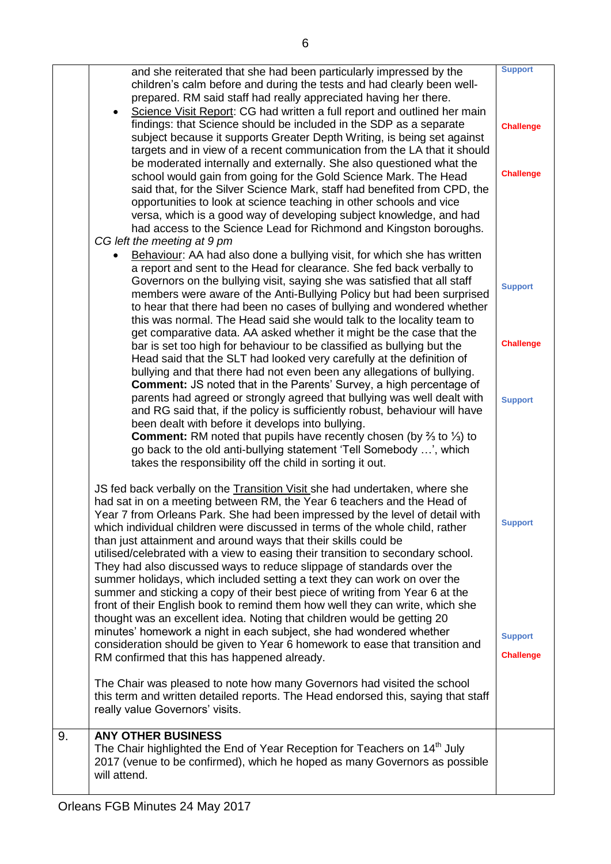|    | and she reiterated that she had been particularly impressed by the<br>children's calm before and during the tests and had clearly been well-<br>prepared. RM said staff had really appreciated having her there.<br>Science Visit Report: CG had written a full report and outlined her main<br>$\bullet$<br>findings: that Science should be included in the SDP as a separate<br>subject because it supports Greater Depth Writing, is being set against<br>targets and in view of a recent communication from the LA that it should<br>be moderated internally and externally. She also questioned what the<br>school would gain from going for the Gold Science Mark. The Head<br>said that, for the Silver Science Mark, staff had benefited from CPD, the<br>opportunities to look at science teaching in other schools and vice<br>versa, which is a good way of developing subject knowledge, and had<br>had access to the Science Lead for Richmond and Kingston boroughs.<br>CG left the meeting at 9 pm<br>Behaviour: AA had also done a bullying visit, for which she has written<br>a report and sent to the Head for clearance. She fed back verbally to | <b>Support</b><br><b>Challenge</b><br><b>Challenge</b> |
|----|------------------------------------------------------------------------------------------------------------------------------------------------------------------------------------------------------------------------------------------------------------------------------------------------------------------------------------------------------------------------------------------------------------------------------------------------------------------------------------------------------------------------------------------------------------------------------------------------------------------------------------------------------------------------------------------------------------------------------------------------------------------------------------------------------------------------------------------------------------------------------------------------------------------------------------------------------------------------------------------------------------------------------------------------------------------------------------------------------------------------------------------------------------------------|--------------------------------------------------------|
|    | Governors on the bullying visit, saying she was satisfied that all staff<br>members were aware of the Anti-Bullying Policy but had been surprised<br>to hear that there had been no cases of bullying and wondered whether<br>this was normal. The Head said she would talk to the locality team to                                                                                                                                                                                                                                                                                                                                                                                                                                                                                                                                                                                                                                                                                                                                                                                                                                                                    | <b>Support</b>                                         |
|    | get comparative data. AA asked whether it might be the case that the<br>bar is set too high for behaviour to be classified as bullying but the<br>Head said that the SLT had looked very carefully at the definition of<br>bullying and that there had not even been any allegations of bullying.<br><b>Comment:</b> JS noted that in the Parents' Survey, a high percentage of                                                                                                                                                                                                                                                                                                                                                                                                                                                                                                                                                                                                                                                                                                                                                                                        | <b>Challenge</b>                                       |
|    | parents had agreed or strongly agreed that bullying was well dealt with<br>and RG said that, if the policy is sufficiently robust, behaviour will have<br>been dealt with before it develops into bullying.<br><b>Comment:</b> RM noted that pupils have recently chosen (by $\frac{2}{3}$ to $\frac{1}{3}$ ) to<br>go back to the old anti-bullying statement 'Tell Somebody ', which<br>takes the responsibility off the child in sorting it out.                                                                                                                                                                                                                                                                                                                                                                                                                                                                                                                                                                                                                                                                                                                    | <b>Support</b>                                         |
|    | JS fed back verbally on the Transition Visit she had undertaken, where she<br>had sat in on a meeting between RM, the Year 6 teachers and the Head of<br>Year 7 from Orleans Park. She had been impressed by the level of detail with<br>which individual children were discussed in terms of the whole child, rather<br>than just attainment and around ways that their skills could be<br>utilised/celebrated with a view to easing their transition to secondary school.<br>They had also discussed ways to reduce slippage of standards over the<br>summer holidays, which included setting a text they can work on over the<br>summer and sticking a copy of their best piece of writing from Year 6 at the<br>front of their English book to remind them how well they can write, which she<br>thought was an excellent idea. Noting that children would be getting 20                                                                                                                                                                                                                                                                                           | <b>Support</b>                                         |
|    | minutes' homework a night in each subject, she had wondered whether<br>consideration should be given to Year 6 homework to ease that transition and<br>RM confirmed that this has happened already.                                                                                                                                                                                                                                                                                                                                                                                                                                                                                                                                                                                                                                                                                                                                                                                                                                                                                                                                                                    | <b>Support</b><br><b>Challenge</b>                     |
|    | The Chair was pleased to note how many Governors had visited the school<br>this term and written detailed reports. The Head endorsed this, saying that staff<br>really value Governors' visits.                                                                                                                                                                                                                                                                                                                                                                                                                                                                                                                                                                                                                                                                                                                                                                                                                                                                                                                                                                        |                                                        |
| 9. | <b>ANY OTHER BUSINESS</b><br>The Chair highlighted the End of Year Reception for Teachers on 14 <sup>th</sup> July<br>2017 (venue to be confirmed), which he hoped as many Governors as possible<br>will attend.                                                                                                                                                                                                                                                                                                                                                                                                                                                                                                                                                                                                                                                                                                                                                                                                                                                                                                                                                       |                                                        |